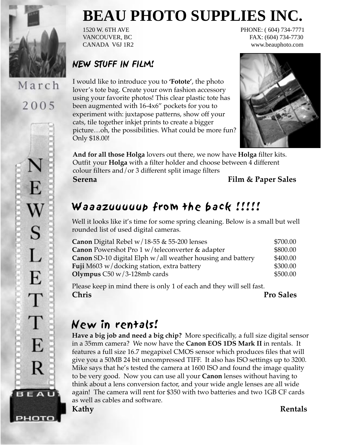

March 2005

E,

 $\bf W$ 

S

L

E

T

T

E

R

**BEAU** 

рното

# **BEAU PHOTO SUPPLIES INC.**

1520 W. 6TH AVE PHONE: ( 604) 734-7771 VANCOUVER, BC FAX: (604) 734-7730 CANADA V6J 1R2 www.beauphoto.com

#### NEW STUFF IN FILM!

I would like to introduce you to **'Fotote'**, the photo lover's tote bag. Create your own fashion accessory using your favorite photos! This clear plastic tote has been augmented with 16-4x6" pockets for you to experiment with: juxtapose patterns, show off your cats, tile together inkjet prints to create a bigger picture…oh, the possibilities. What could be more fun? Only \$18.00!



**And for all those Holga** lovers out there, we now have **Holga** filter kits. Outfit your **Holga** with a filter holder and choose between 4 different colour filters and/or 3 different split image filters **Serena Film & Paper Sales**

## Waaazuuuuup from the back !!!!!

Well it looks like it's time for some spring cleaning. Below is a small but well rounded list of used digital cameras.

| \$700.00 |
|----------|
| \$800.00 |
| \$400.00 |
| \$300.00 |
| \$500.00 |
|          |

Please keep in mind there is only 1 of each and they will sell fast. **Chris Pro Sales**

## New in rentals!

**Have a big job and need a big chip?** More specifically, a full size digital sensor in a 35mm camera? We now have the **Canon EOS 1DS Mark II** in rentals. It features a full size 16.7 megapixel CMOS sensor which produces files that will give you a 50MB 24 bit uncompressed TIFF. It also has ISO settings up to 3200. Mike says that he's tested the camera at 1600 ISO and found the image quality to be very good. Now you can use all your **Canon** lenses without having to think about a lens conversion factor, and your wide angle lenses are all wide again! The camera will rent for \$350 with two batteries and two 1GB CF cards as well as cables and software.

**Kathy Rentals**